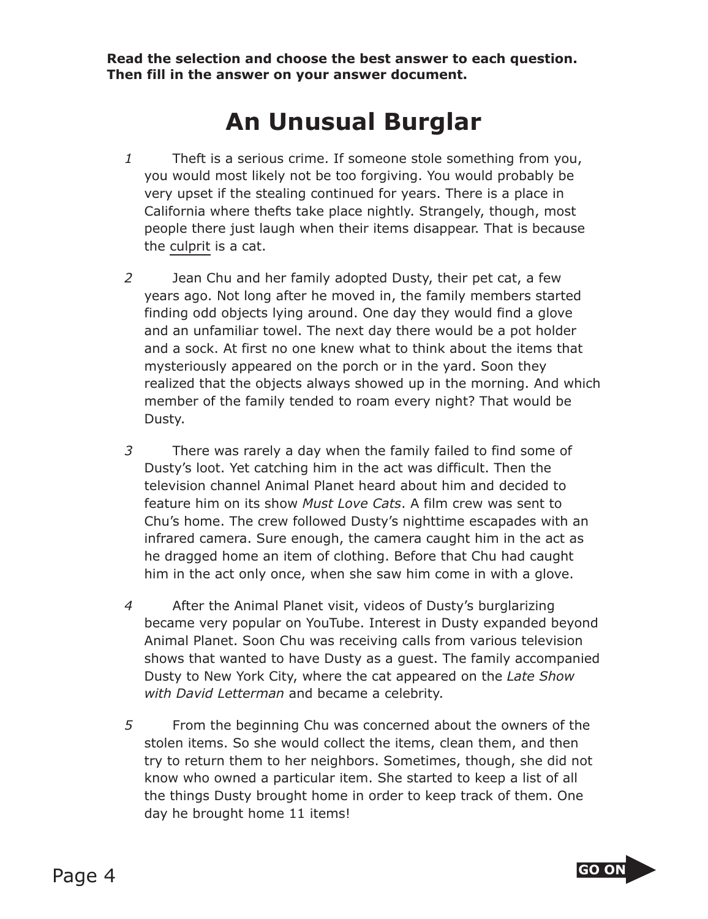**Read the selection and choose the best answer to each question. Then fill in the answer on your answer document.**

## **An Unusual Burglar**

- *1* Theft is a serious crime. If someone stole something from you, you would most likely not be too forgiving. You would probably be very upset if the stealing continued for years. There is a place in California where thefts take place nightly. Strangely, though, most people there just laugh when their items disappear. That is because the culprit is a cat.
- *2* Jean Chu and her family adopted Dusty, their pet cat, a few years ago. Not long after he moved in, the family members started finding odd objects lying around. One day they would find a glove and an unfamiliar towel. The next day there would be a pot holder and a sock. At first no one knew what to think about the items that mysteriously appeared on the porch or in the yard. Soon they realized that the objects always showed up in the morning. And which member of the family tended to roam every night? That would be Dusty.
- *3* There was rarely a day when the family failed to find some of Dusty's loot. Yet catching him in the act was difficult. Then the television channel Animal Planet heard about him and decided to feature him on its show *Must Love Cats*. A film crew was sent to Chu's home. The crew followed Dusty's nighttime escapades with an infrared camera. Sure enough, the camera caught him in the act as he dragged home an item of clothing. Before that Chu had caught him in the act only once, when she saw him come in with a glove.
- *4* After the Animal Planet visit, videos of Dusty's burglarizing became very popular on YouTube. Interest in Dusty expanded beyond Animal Planet. Soon Chu was receiving calls from various television shows that wanted to have Dusty as a guest. The family accompanied Dusty to New York City, where the cat appeared on the *Late Show with David Letterman* and became a celebrity.
- *5* From the beginning Chu was concerned about the owners of the stolen items. So she would collect the items, clean them, and then try to return them to her neighbors. Sometimes, though, she did not know who owned a particular item. She started to keep a list of all the things Dusty brought home in order to keep track of them. One day he brought home 11 items!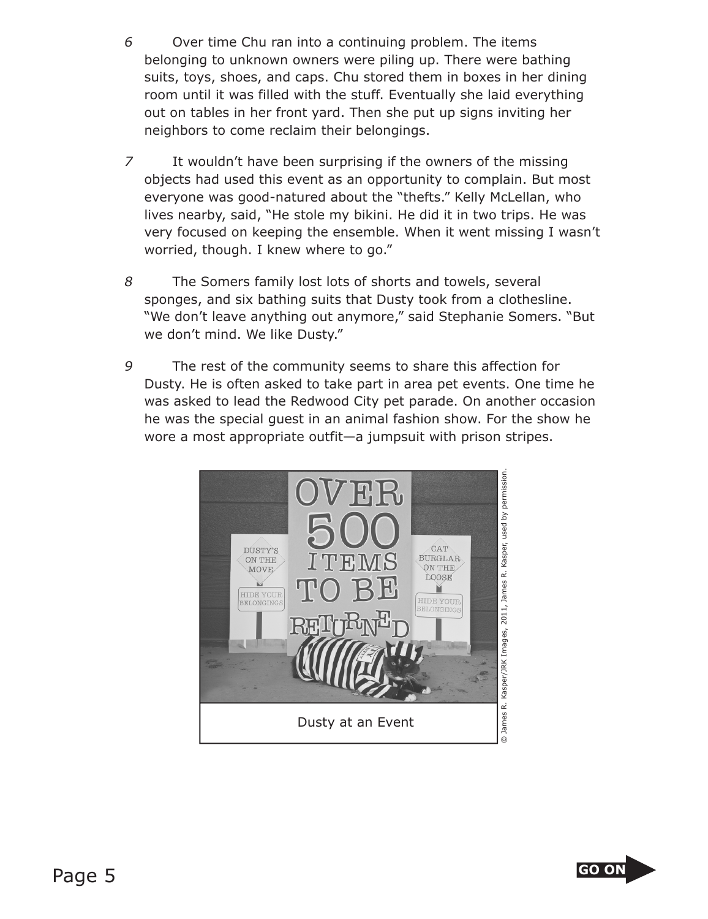- *6* Over time Chu ran into a continuing problem. The items belonging to unknown owners were piling up. There were bathing suits, toys, shoes, and caps. Chu stored them in boxes in her dining room until it was filled with the stuff. Eventually she laid everything out on tables in her front yard. Then she put up signs inviting her neighbors to come reclaim their belongings.
- *7* It wouldn't have been surprising if the owners of the missing objects had used this event as an opportunity to complain. But most everyone was good-natured about the "thefts." Kelly McLellan, who lives nearby, said, "He stole my bikini. He did it in two trips. He was very focused on keeping the ensemble. When it went missing I wasn't worried, though. I knew where to go."
- *8* The Somers family lost lots of shorts and towels, several sponges, and six bathing suits that Dusty took from a clothesline. "We don't leave anything out anymore," said Stephanie Somers. "But we don't mind. We like Dusty."
- *9* The rest of the community seems to share this affection for Dusty. He is often asked to take part in area pet events. One time he was asked to lead the Redwood City pet parade. On another occasion he was the special guest in an animal fashion show. For the show he wore a most appropriate outfit—a jumpsuit with prison stripes.



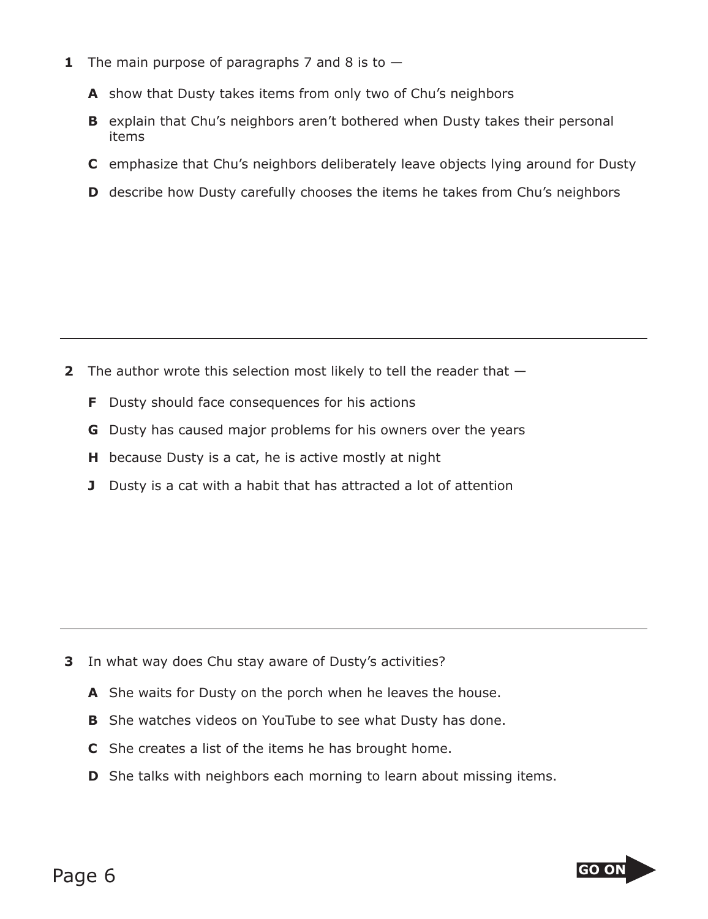- **1** The main purpose of paragraphs 7 and 8 is to  $-$ 
	- **A** show that Dusty takes items from only two of Chu's neighbors
	- **B** explain that Chu's neighbors aren't bothered when Dusty takes their personal items
	- **C** emphasize that Chu's neighbors deliberately leave objects lying around for Dusty
	- **D** describe how Dusty carefully chooses the items he takes from Chu's neighbors

- **2** The author wrote this selection most likely to tell the reader that
	- **F** Dusty should face consequences for his actions
	- **G** Dusty has caused major problems for his owners over the years
	- **H** because Dusty is a cat, he is active mostly at night
	- **J** Dusty is a cat with a habit that has attracted a lot of attention

- **3** In what way does Chu stay aware of Dusty's activities?
	- **A** She waits for Dusty on the porch when he leaves the house.
	- **B** She watches videos on YouTube to see what Dusty has done.
	- **C** She creates a list of the items he has brought home.
	- **D** She talks with neighbors each morning to learn about missing items.

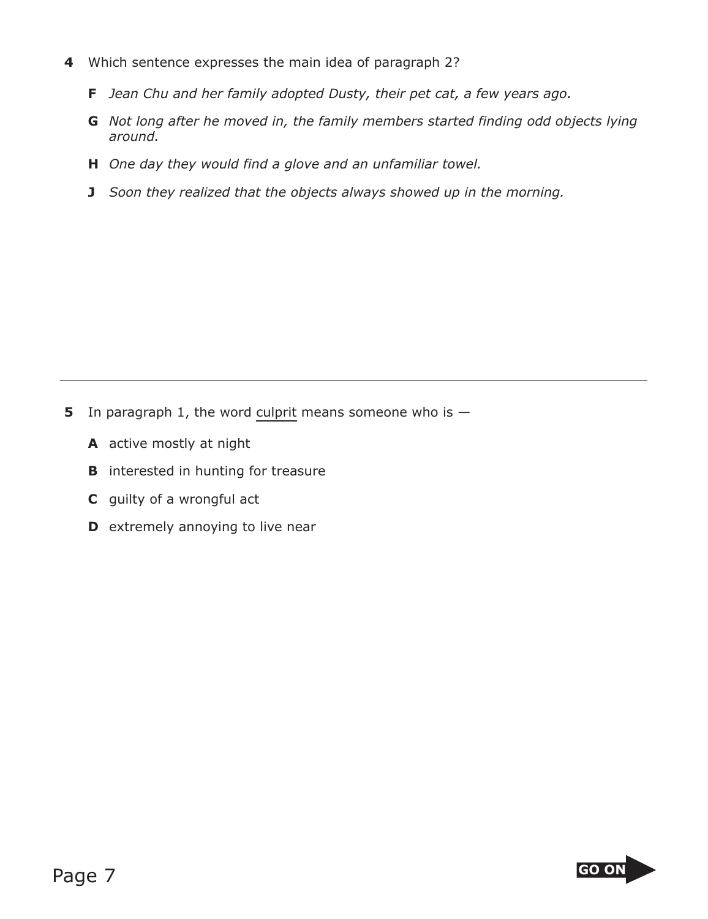- **4** Which sentence expresses the main idea of paragraph 2?
	- **F** *Jean Chu and her family adopted Dusty, their pet cat, a few years ago.*
	- **G** *Not long after he moved in, the family members started finding odd objects lying around.*
	- **H** *One day they would find a glove and an unfamiliar towel.*
	- **J** *Soon they realized that the objects always showed up in the morning.*

- **5** In paragraph 1, the word culprit means someone who is
	- **A** active mostly at night
	- **B** interested in hunting for treasure
	- **C** guilty of a wrongful act
	- **D** extremely annoying to live near

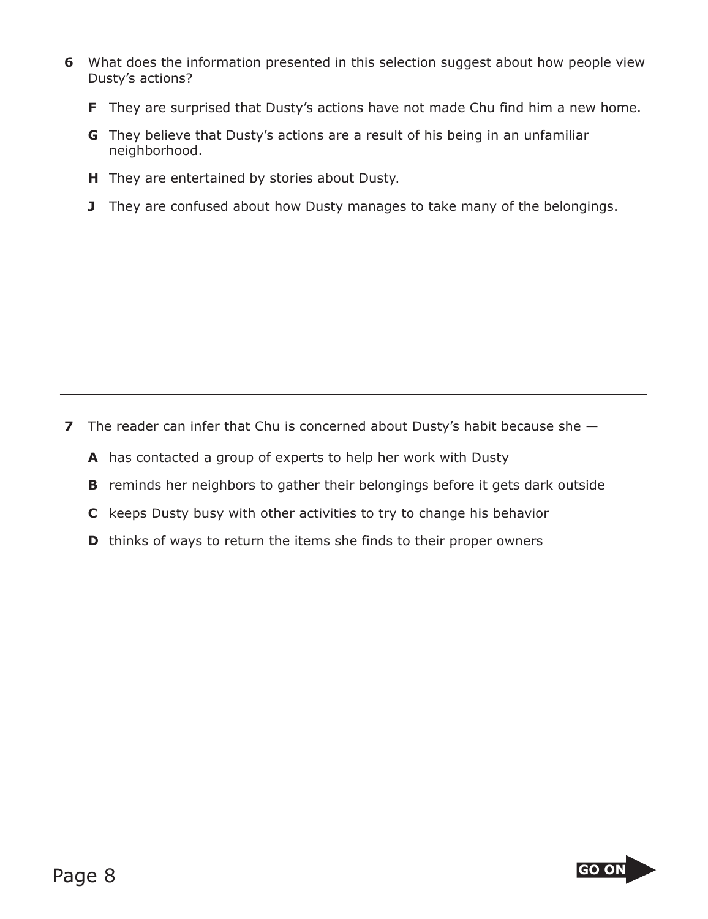- **6** What does the information presented in this selection suggest about how people view Dusty's actions?
	- **F** They are surprised that Dusty's actions have not made Chu find him a new home.
	- **G** They believe that Dusty's actions are a result of his being in an unfamiliar neighborhood.
	- **H** They are entertained by stories about Dusty.
	- **J** They are confused about how Dusty manages to take many of the belongings.

- **7** The reader can infer that Chu is concerned about Dusty's habit because she  $-$ 
	- **A** has contacted a group of experts to help her work with Dusty
	- **B** reminds her neighbors to gather their belongings before it gets dark outside
	- **C** keeps Dusty busy with other activities to try to change his behavior
	- **D** thinks of ways to return the items she finds to their proper owners

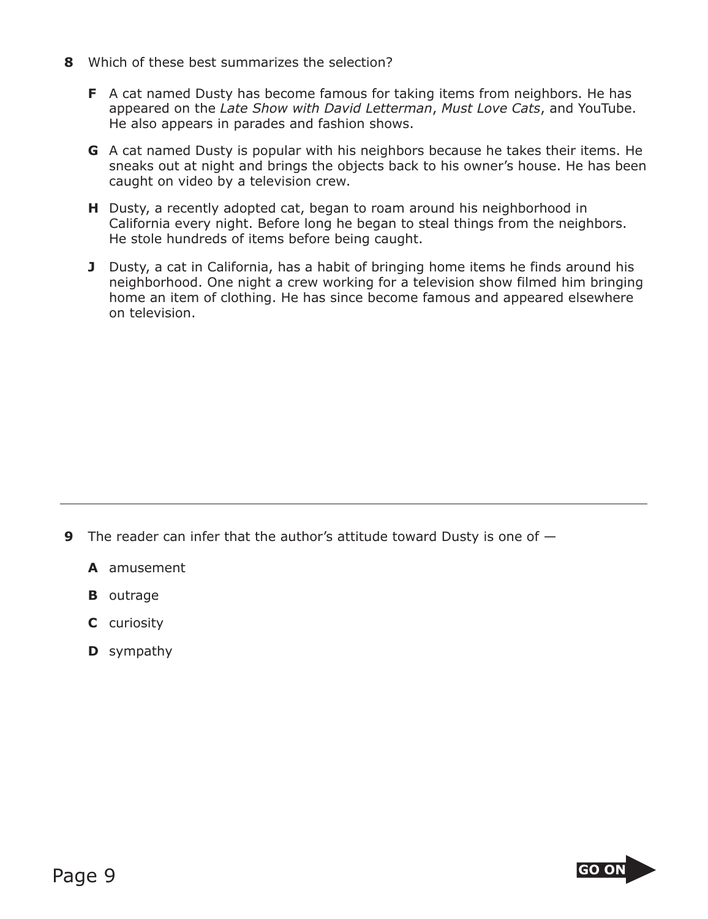- **8** Which of these best summarizes the selection?
	- **F** A cat named Dusty has become famous for taking items from neighbors. He has appeared on the *Late Show with David Letterman*, *Must Love Cats*, and YouTube. He also appears in parades and fashion shows.
	- **G** A cat named Dusty is popular with his neighbors because he takes their items. He sneaks out at night and brings the objects back to his owner's house. He has been caught on video by a television crew.
	- **H** Dusty, a recently adopted cat, began to roam around his neighborhood in California every night. Before long he began to steal things from the neighbors. He stole hundreds of items before being caught.
	- **J** Dusty, a cat in California, has a habit of bringing home items he finds around his neighborhood. One night a crew working for a television show filmed him bringing home an item of clothing. He has since become famous and appeared elsewhere on television.

- **9** The reader can infer that the author's attitude toward Dusty is one of
	- **A** amusement
	- **B** outrage
	- **C** curiosity
	- **D** sympathy